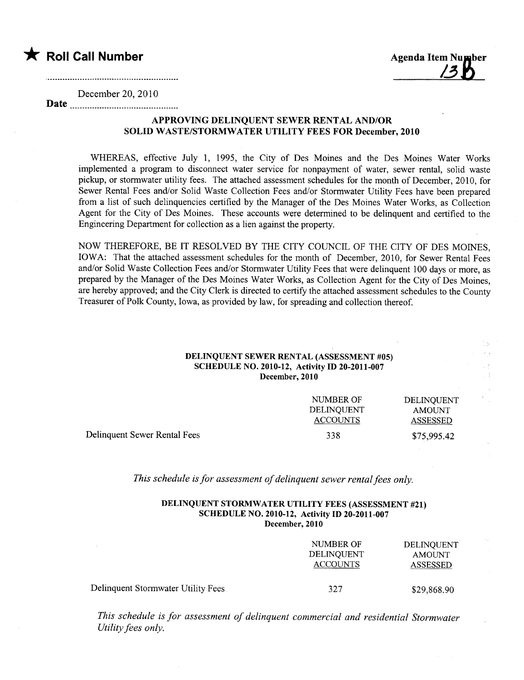



December 20,2010 Date

## APPROVING DELINQUENT SEWER RENTAL AND/OR SOLID WASTE/STORMWATER UTILITY FEES FOR December, 2010

WHEREAS, effective July 1, 1995, the City of Des Moines and the Des Moines Water Works implemented a program to disconnect water service for nonpayment of water, sewer rental, solid waste pickup, or stormwater utility fees. The attached assessment schedules for the month of December, 2010, for Sewer Rental Fees and/or Solid Waste Collection Fees and/or Stormwater Utility Fees have been prepared from a list of such delinquencies certified by the Manager of the Des Moines Water Works, as Collection Agent for the City of Des Moines. These accounts were determined to be delinquent and certified to the Engineering Department for collection as a lien against the property.

NOW THEREFORE, BE IT RESOLVED BY THE CITY COUNCIL OF THE CITY OF DES MOINES, IOWA: That the attached assessment schedules for the month of December, 2010, for Sewer Rental Fees and/or Solid Waste Collection Fees and/or Stormwater Utility Fees that were delinquent 100 days or more, as prepared by the Manager of the Des Moines Water Works, as Collection Agent for the City of Des Moines, are hereby approved; and the City Clerk is directed to certify the attached assessment schedules to the County Treasurer of Polk County, Iowa, as provided by law, for spreading and collection thereof.

## DELINQUENT SEWER RENTAL (ASSESSMENT #05) SCHEDULE NO. 2010-12, Activity ID 20-2011-007 December, 2010

|                              | NUMBER OF<br><b>DELINOUENT</b><br><b>ACCOUNTS</b> | DELINQUENT<br><b>AMOUNT</b><br>ASSESSED |
|------------------------------|---------------------------------------------------|-----------------------------------------|
| Delinquent Sewer Rental Fees | 338                                               | \$75,995.42                             |

This schedule is for assessment of delinquent sewer rental fees only.

## DELINQUENT STORMWATER UTILITY FEES (ASSESSMENT #21) SCHEDULE NO. 2010-12, Activity ID 20-2011-007 December, 2010

|                                    | NUMBER OF<br>DELINQUENT<br><b>ACCOUNTS</b> | <b>DELINQUENT</b><br><b>AMOUNT</b><br><b>ASSESSED</b> |
|------------------------------------|--------------------------------------------|-------------------------------------------------------|
| Delinquent Stormwater Utility Fees | 327                                        | \$29,868.90                                           |

This schedule is for assessment of delinquent commercial and residential Stormwater Utility fees only.